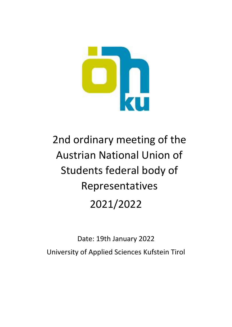

# 2nd ordinary meeting of the Austrian National Union of Students federal body of Representatives 2021/2022

Date: 19th January 2022 University of Applied Sciences Kufstein Tirol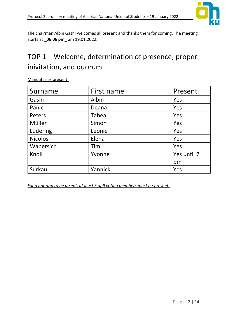

The chairman Albin Gashi welcomes all present and thanks them for coming. The meeting starts at \_**06:06 pm**\_ am 19.01.2022.

# TOP  $1$  – Welcome, determination of presence, proper inivitation, and quorum

Mandataries present:

| Surname         | First name | Present     |
|-----------------|------------|-------------|
| Gashi           | Albin      | Yes         |
| Panic           | Deana      | Yes         |
| Peters          | Tabea      | Yes         |
| Müller          | Simon      | Yes         |
| Lüdering        | Leonie     | Yes         |
| <b>Nicolosi</b> | Elena      | Yes         |
| Wabersich       | Tim        | Yes         |
| Knoll           | Yvonne     | Yes until 7 |
|                 |            | pm          |
| Surkau          | Yannick    | Yes         |

*For a quorum to be prsent, at least 5 of 9 voting members must be present.*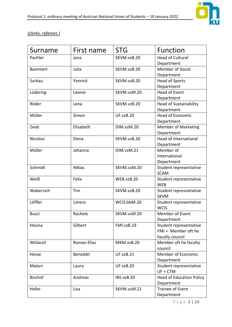

#### *(clerks, referees )*

| Surname        | First name         | <b>STG</b>       | <b>Function</b>                 |
|----------------|--------------------|------------------|---------------------------------|
| Pachler        | Jana               | SKVM.vzB.20      | <b>Head of Cultural</b>         |
|                |                    |                  | Department                      |
| <b>Bammert</b> | Julia              | SKVM.vzB.20      | <b>Member of Social</b>         |
|                |                    |                  | Department                      |
| Surkau         | Yannick            | SKVM.vzB.20      | <b>Head of Sports</b>           |
|                |                    |                  | Department                      |
| Lüdering       | Leonie             | SKVM.vzM.20      | <b>Head of Event</b>            |
|                |                    |                  | Department                      |
| Röder          | Lena               | SKVM.vzB.20      | <b>Head of Sustainability</b>   |
|                |                    |                  | Department                      |
| Müller         | Simon              | <b>UF.vzB.20</b> | <b>Head of Economic</b>         |
|                |                    |                  | Department                      |
| Zeeb           | Elisabeth          | DIM.vzM.20       | <b>Member of Marketing</b>      |
|                |                    |                  | Department                      |
| Nicolosi       | Elena              | SKVM.vzB.20      | <b>Head of International</b>    |
|                |                    |                  | Department                      |
| Müller         | Johanna            | DIM.vzM.21       | Member of                       |
|                |                    |                  | International                   |
|                |                    |                  | Department                      |
| Schmidt        | <b>Niklas</b>      | SKVM.vzM.20      | Student representative          |
|                |                    |                  | <b>SCAM</b>                     |
| Weiß           | Felix              | WEB.vzB.20       | Student representative          |
|                |                    |                  | <b>WEB</b>                      |
| Wabersich      | Tim                | SKVM.vzB.20      | Student represnetative          |
|                |                    |                  | <b>SKVM</b>                     |
| Löffler        | Lorenz             | WCIS.bbM.20      | Student representative          |
|                |                    |                  | <b>WCIS</b>                     |
| <b>Bucci</b>   | Rachele            | SKVM.vzM.20      | Member of Event                 |
|                |                    |                  | Department                      |
| Hesina         | Gilbert            | FMI.vzB.19       | Student representative          |
|                |                    |                  | FMI + Member oft he             |
|                |                    |                  | faculty council                 |
| Witlaczil      | <b>Roman Elias</b> | MKM.zvB.20       | Member oft he faculty           |
|                |                    |                  | council                         |
| Hesse          | Benedikt           | <b>UF.vzB.21</b> | Member of Economic              |
|                |                    |                  | Department                      |
| Malarz         | Laura              | <b>UF.vzB.20</b> | Student representative          |
|                |                    |                  | UF + CTM                        |
| <b>Bischof</b> | Andreas            | IBS.vzB.20       | <b>Head of Education Policy</b> |
|                |                    |                  | Department                      |
| Hofer          | Lisa               | SKVM.vzM.21      | <b>Trainee of Event</b>         |
|                |                    |                  | Department                      |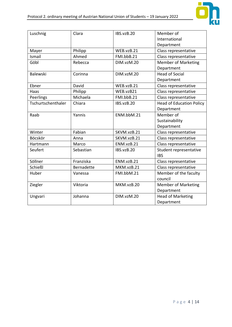

| Luschnig           | Clara             | IBS.vzB.20  | Member of                       |
|--------------------|-------------------|-------------|---------------------------------|
|                    |                   |             | International                   |
|                    |                   |             | Department                      |
| Mayer              | Philipp           | WEB.vzB.21  | Class representative            |
| Ismail             | Ahmed             | FMI.bbB.21  | Class representative            |
| Göbl               | Rebecca           | DIM.vzM.20  | <b>Member of Marketing</b>      |
|                    |                   |             | Department                      |
| Balewski           | Corinna           | DIM.vzM.20  | <b>Head of Social</b>           |
|                    |                   |             | Department                      |
| Ebner              | David             | WEB.vzB.21  | Class representative            |
| Haas               | Philipp           | WEB.vzB21   | Class representative            |
| Peerlings          | Michaela          | FMI.bbB.21  | Class representative            |
| Tschurtschenthaler | Chiara            | IBS.vzB.20  | <b>Head of Education Policy</b> |
|                    |                   |             | Department                      |
| Raab               | Yannis            | ENM.bbM.21  | Member of                       |
|                    |                   |             | Sustainability                  |
|                    |                   |             | Department                      |
| Winter             | Fabian            | SKVM.vzB.21 | Class representative            |
| Böcskör            | Anna              | SKVM.vzB.21 | Class representative            |
| Hartmann           | Marco             | ENM.vzB.21  | Class representative            |
| Seufert            | Sebastian         | IBS.vzB.20  | Student representative          |
|                    |                   |             | <b>IBS</b>                      |
| Söllner            | Franziska         | ENM.vzB.21  | Class representative            |
| Schießl            | <b>Bernadette</b> | MKM.vzB.21  | Class representative            |
| Huber              | Vanessa           | FMI.bbM.21  | Member of the faculty           |
|                    |                   |             | council                         |
| Ziegler            | Viktoria          | MKM.vzB.20  | <b>Member of Marketing</b>      |
|                    |                   |             | Department                      |
| Ungvari            | Johanna           | DIM.vzM.20  | <b>Head of Marketing</b>        |
|                    |                   |             | Department                      |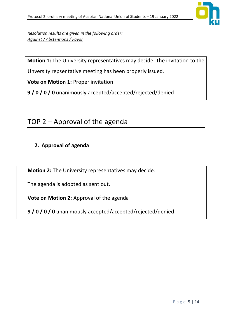

*Resolution results are given in the following order: Against / Abstentions / Favor*

**Motion 1:** The University representatives may decide: The invitation to the

Unversity repsentative meeting has been properly issued.

**Vote on Motion 1:** Proper invitation

**9 / 0 / 0 / 0** unanimously accepted/accepted/rejected/denied

# TOP  $2$  – Approval of the agenda

#### **2. Approval of agenda**

**Motion 2:** The University representatives may decide:

The agenda is adopted as sent out.

**Vote on Motion 2:** Approval of the agenda

**9 / 0 / 0 / 0** unanimously accepted/accepted/rejected/denied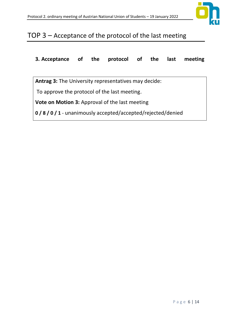

# TOP  $3 -$  Acceptance of the protocol of the last meeting

**3. Acceptance of the protocol of the last meeting** 

**Antrag 3:** The University representatives may decide:

To approve the protocol of the last meeting.

**Vote on Motion 3:** Approval of the last meeting

**0 / 8 / 0 / 1** - unanimously accepted/accepted/rejected/denied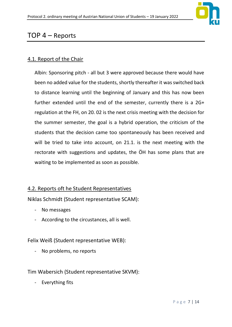

## $TOP 4 - Reports$

#### 4.1. Report of the Chair

Albin: Sponsoring pitch - all but 3 were approved because there would have been no added value for the students, shortly thereafter it was switched back to distance learning until the beginning of January and this has now been further extended until the end of the semester, currently there is a 2G+ regulation at the FH, on 20. 02 is the next crisis meeting with the decision for the summer semester, the goal is a hybrid operation, the criticism of the students that the decision came too spontaneously has been received and will be tried to take into account, on 21.1. is the next meeting with the rectorate with suggestions and updates, the ÖH has some plans that are waiting to be implemented as soon as possible.

#### 4.2. Reports oft he Student Representatives

Niklas Schmidt (Student representative SCAM):

- No messages
- According to the circustances, all is well.

Felix Weiß (Student representative WEB):

- No problems, no reports

#### Tim Wabersich (Student representative SKVM):

- Everything fits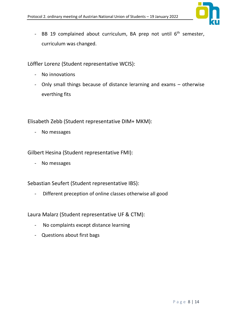

- BB 19 complained about curriculum, BA prep not until  $6<sup>th</sup>$  semester, curriculum was changed.

Löffler Lorenz (Student representative WCIS):

- No innovations
- Only small things because of distance lerarning and exams otherwise everthing fits

Elisabeth Zebb (Student representative DIM+ MKM):

- No messages

Gilbert Hesina (Student representative FMI):

- No messages

Sebastian Seufert (Student representative IBS):

- Different preception of online classes otherwise all good

Laura Malarz (Student representative UF & CTM):

- No complaints except distance learning
- Questions about first bags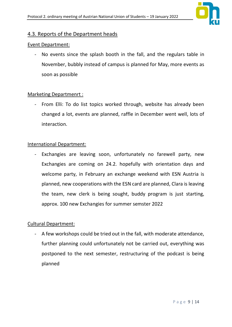

#### 4.3. Reports of the Department heads

#### Event Department:

- No events since the splash booth in the fall, and the regulars table in November, bubbly instead of campus is planned for May, more events as soon as possible

#### Marketing Departmenrt :

- From Elli: To do list topics worked through, website has already been changed a lot, events are planned, raffle in December went well, lots of interaction.

#### International Department:

- Exchangies are leaving soon, unfortunately no farewell party, new Exchangies are coming on 24.2. hopefully with orientation days and welcome party, in February an exchange weekend with ESN Austria is planned, new cooperations with the ESN card are planned, Clara is leaving the team, new clerk is being sought, buddy program is just starting, approx. 100 new Exchangies for summer semster 2022

#### Cultural Department:

- A few workshops could be tried out in the fall, with moderate attendance, further planning could unfortunately not be carried out, everything was postponed to the next semester, restructuring of the podcast is being planned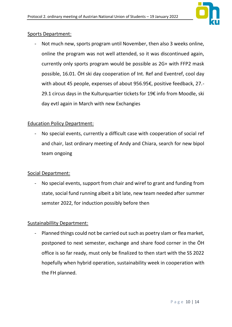

#### Sports Department:

- Not much new, sports program until November, then also 3 weeks online, online the program was not well attended, so it was discontinued again, currently only sports program would be possible as 2G+ with FFP2 mask possible, 16.01. ÖH ski day cooperation of Int. Ref and Eventref, cool day with about 45 people, expenses of about 956.95€, positive feedback, 27.-29.1 circus days in the Kulturquartier tickets for 19€ info from Moodle, ski day evtl again in March with new Exchangies

#### Education Policy Department:

- No special events, currently a difficult case with cooperation of social ref and chair, last ordinary meeting of Andy and Chiara, search for new bipol team ongoing

#### Social Department:

- No special events, support from chair and wiref to grant and funding from state, social fund running albeit a bit late, new team needed after summer semster 2022, for induction possibly before then

#### Sustainabillity Department:

- Planned things could not be carried out such as poetry slam or flea market, postponed to next semester, exchange and share food corner in the ÖH office is so far ready, must only be finalized to then start with the SS 2022 hopefully when hybrid operation, sustainability week in cooperation with the FH planned.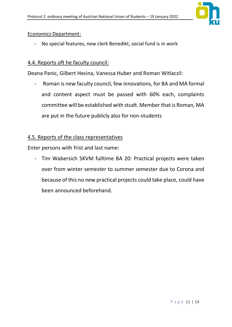

#### Economics Department:

- No special features, new clerk Benedikt, social fund is in work

#### 4.4. Reports oft he faculty council:

Deana Panic, Gilbert Hesina, Vanessa Huber and Roman Witlaczil:

- Roman is new faculty council, few innovations, for BA and MA formal and content aspect must be passed with 60% each, complaints committee will be established with studt. Member that is Roman, MA are put in the future publicly also for non-students

#### 4.5. Reports of the class representatives

Enter persons with frist and last name:

- Tim Wabersich SKVM fulltime BA 20: Practical projects were taken over from winter semester to summer semester due to Corona and because of this no new practical projects could take place, could have been announced beforehand.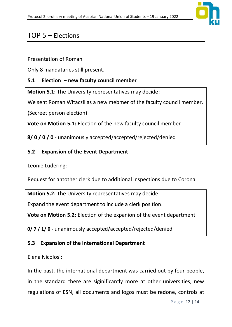

# $TOP 5 - Electronics$

Presentation of Roman

Only 8 mandataries still present.

## **5.1 Election ʹ new faculty council member**

**Motion 5.1:** The University representatives may decide:

We sent Roman Witaczil as a new mebmer of the faculty council member.

(Secreet person election)

**Vote on Motion 5.1:** Election of the new faculty council member

**8/ 0 / 0 / 0** - unanimously accepted/accepted/rejected/denied

### **5.2 Expansion of the Event Department**

Leonie Lüdering:

Request for antother clerk due to additional inspections due to Corona.

**Motion 5.2:** The University representatives may decide:

Expand the event department to include a clerk position.

**Vote on Motion 5.2:** Election of the expanion of the event department

**0/ 7 / 1/ 0** - unanimously accepted/accepted/rejected/denied

## **5.3 Expansion of the International Department**

Elena Nicolosi:

In the past, the international department was carried out by four people, in the standard there are siginificantly more at other universities, new regulations of ESN, all documents and logos must be redone, controls at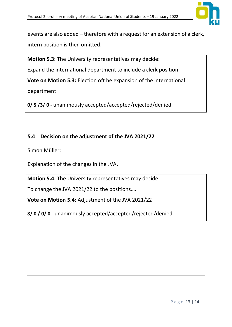

events are also added – therefore with a request for an extension of a clerk, intern position is then omitted.

**Motion 5.3:** The University representatives may decide:

Expand the international department to include a clerk position.

**Vote on Motion 5.3:** Election oft he expansion of the international

department

**0/ 5 /3/ 0** - unanimously accepted/accepted/rejected/denied

## **5.4 Decision on the adjustment of the JVA 2021/22**

Simon Müller:

Explanation of the changes in the JVA.

**Motion 5.4:** The University representatives may decide:

To change the JVA 2021/22 to the positions....

**Vote on Motion 5.4:** Adjustment of the JVA 2021/22

**8/ 0 / 0/ 0** - unanimously accepted/accepted/rejected/denied